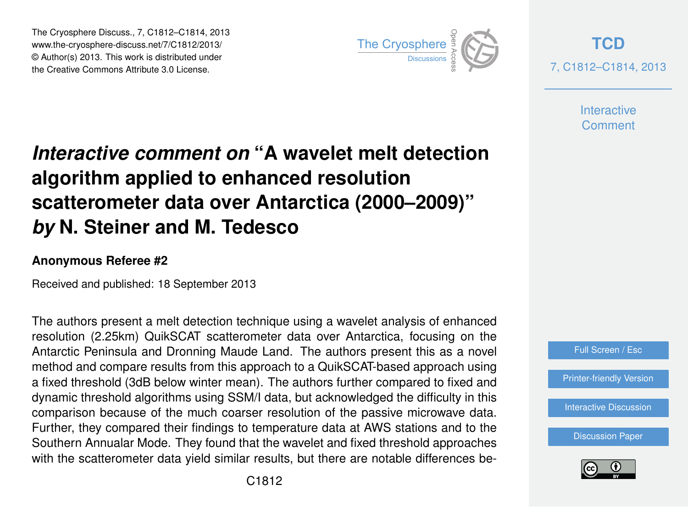The Cryosphere Discuss., 7, C1812–C1814, 2013 www.the-cryosphere-discuss.net/7/C1812/2013/ www.the-cryosphere-discuss.het///C1012/2013/<br>© Author(s) 2013. This work is distributed under the Creative Commons Attribute 3.0 License.



**[TCD](http://www.the-cryosphere-discuss.net)** 7, C1812–C1814, 2013

> **Interactive Comment**

## *Interactive comment on* **"A wavelet melt detection algorithm applied to enhanced resolution scatterometer data over Antarctica (2000–2009)"** *by* **N. Steiner and M. Tedesco**

## **Anonymous Referee #2**

Received and published: 18 September 2013

The authors present a melt detection technique using a wavelet analysis of enhanced resolution (2.25km) QuikSCAT scatterometer data over Antarctica, focusing on the Antarctic Peninsula and Dronning Maude Land. The authors present this as a novel method and compare results from this approach to a QuikSCAT-based approach using a fixed threshold (3dB below winter mean). The authors further compared to fixed and dynamic threshold algorithms using SSM/I data, but acknowledged the difficulty in this comparison because of the much coarser resolution of the passive microwave data. Further, they compared their findings to temperature data at AWS stations and to the Southern Annualar Mode. They found that the wavelet and fixed threshold approaches with the scatterometer data yield similar results, but there are notable differences be-



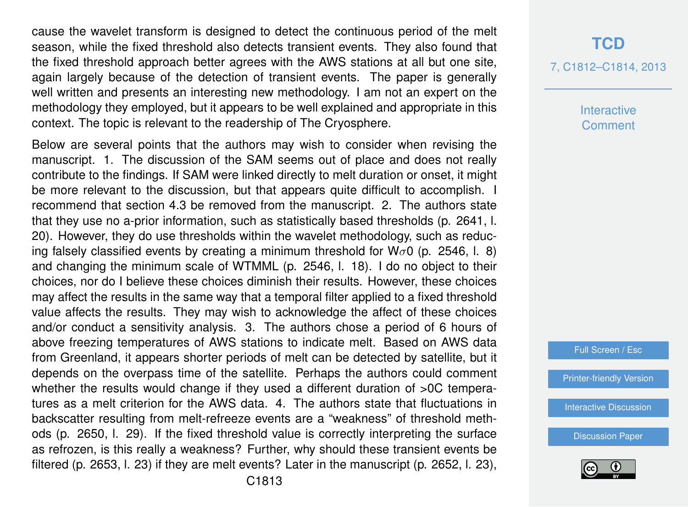cause the wavelet transform is designed to detect the continuous period of the melt season, while the fixed threshold also detects transient events. They also found that the fixed threshold approach better agrees with the AWS stations at all but one site, again largely because of the detection of transient events. The paper is generally well written and presents an interesting new methodology. I am not an expert on the methodology they employed, but it appears to be well explained and appropriate in this context. The topic is relevant to the readership of The Cryosphere.

Below are several points that the authors may wish to consider when revising the manuscript. 1. The discussion of the SAM seems out of place and does not really contribute to the findings. If SAM were linked directly to melt duration or onset, it might be more relevant to the discussion, but that appears quite difficult to accomplish. I recommend that section 4.3 be removed from the manuscript. 2. The authors state that they use no a-prior information, such as statistically based thresholds (p. 2641, l. 20). However, they do use thresholds within the wavelet methodology, such as reducing falsely classified events by creating a minimum threshold for  $W_{\sigma}0$  (p. 2546, l. 8) and changing the minimum scale of WTMML (p. 2546, l. 18). I do no object to their choices, nor do I believe these choices diminish their results. However, these choices may affect the results in the same way that a temporal filter applied to a fixed threshold value affects the results. They may wish to acknowledge the affect of these choices and/or conduct a sensitivity analysis. 3. The authors chose a period of 6 hours of above freezing temperatures of AWS stations to indicate melt. Based on AWS data from Greenland, it appears shorter periods of melt can be detected by satellite, but it depends on the overpass time of the satellite. Perhaps the authors could comment whether the results would change if they used a different duration of  $>0$ C temperatures as a melt criterion for the AWS data. 4. The authors state that fluctuations in backscatter resulting from melt-refreeze events are a "weakness" of threshold methods (p. 2650, l. 29). If the fixed threshold value is correctly interpreting the surface as refrozen, is this really a weakness? Further, why should these transient events be filtered (p. 2653, l. 23) if they are melt events? Later in the manuscript (p. 2652, l. 23), **Interactive Comment** 

Full Screen / Esc

[Printer-friendly Version](http://www.the-cryosphere-discuss.net/7/C1812/2013/tcd-7-C1812-2013-print.pdf)

[Interactive Discussion](http://www.the-cryosphere-discuss.net/7/2635/2013/tcd-7-2635-2013-discussion.html)

[Discussion Paper](http://www.the-cryosphere-discuss.net/7/2635/2013/tcd-7-2635-2013.pdf)